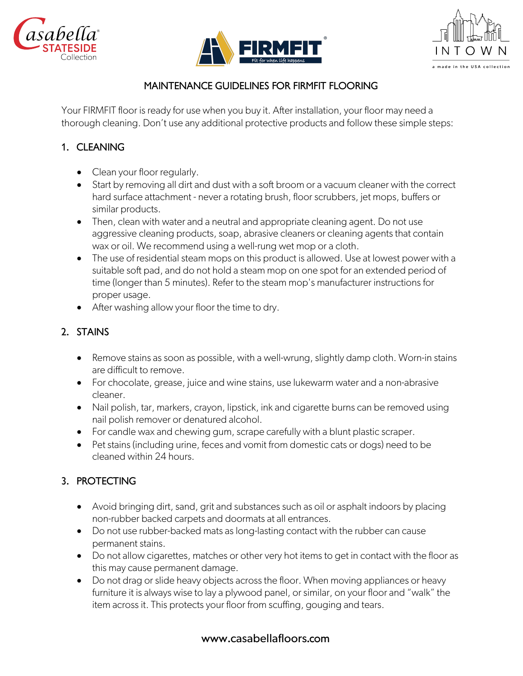





## MAINTENANCE GUIDELINES FOR FIRMFIT FLOORING

Your FIRMFIT floor is ready for use when you buy it. After installation, your floor may need a thorough cleaning. Don't use any additional protective products and follow these simple steps:

## 1. CLEANING

- Clean your floor regularly.
- Start by removing all dirt and dust with a soft broom or a vacuum cleaner with the correct hard surface attachment - never a rotating brush, floor scrubbers, jet mops, buffers or similar products.
- Then, clean with water and a neutral and appropriate cleaning agent. Do not use aggressive cleaning products, soap, abrasive cleaners or cleaning agents that contain wax or oil. We recommend using a well-rung wet mop or a cloth.
- The use of residential steam mops on this product is allowed. Use at lowest power with a suitable soft pad, and do not hold a steam mop on one spot for an extended period of time (longer than 5 minutes). Refer to the steam mop's manufacturer instructions for proper usage.
- After washing allow your floor the time to dry.

## 2. STAINS

- Remove stains as soon as possible, with a well-wrung, slightly damp cloth. Worn-in stains are difficult to remove.
- For chocolate, grease, juice and wine stains, use lukewarm water and a non-abrasive cleaner.
- Nail polish, tar, markers, crayon, lipstick, ink and cigarette burns can be removed using nail polish remover or denatured alcohol.
- For candle wax and chewing gum, scrape carefully with a blunt plastic scraper.
- Pet stains (including urine, feces and vomit from domestic cats or dogs) need to be cleaned within 24 hours.

# 3. PROTECTING

- Avoid bringing dirt, sand, grit and substances such as oil or asphalt indoors by placing non-rubber backed carpets and doormats at all entrances.
- Do not use rubber-backed mats as long-lasting contact with the rubber can cause permanent stains.
- Do not allow cigarettes, matches or other very hot items to get in contact with the floor as this may cause permanent damage.
- Do not drag or slide heavy objects across the floor. When moving appliances or heavy furniture it is always wise to lay a plywood panel, or similar, on your floor and "walk" the item across it. This protects your floor from scuffing, gouging and tears.

## www.casabellafloors.com